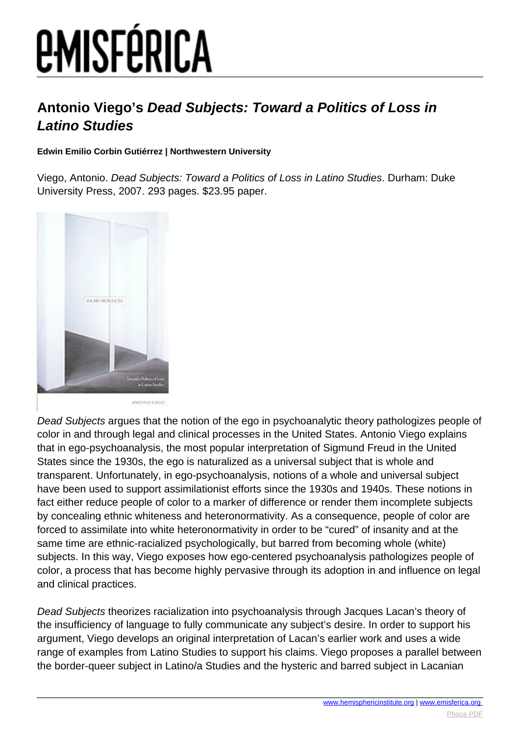## *EMISFÉRICA*

## **Antonio Viego's Dead Subjects: Toward a Politics of Loss in Latino Studies**

## **Edwin Emilio Corbin Gutiérrez | Northwestern University**

Viego, Antonio. Dead Subjects: Toward a Politics of Loss in Latino Studies. Durham: Duke University Press, 2007. 293 pages. \$23.95 paper.



Dead Subjects argues that the notion of the ego in psychoanalytic theory pathologizes people of color in and through legal and clinical processes in the United States. Antonio Viego explains that in ego-psychoanalysis, the most popular interpretation of Sigmund Freud in the United States since the 1930s, the ego is naturalized as a universal subject that is whole and transparent. Unfortunately, in ego-psychoanalysis, notions of a whole and universal subject have been used to support assimilationist efforts since the 1930s and 1940s. These notions in fact either reduce people of color to a marker of difference or render them incomplete subjects by concealing ethnic whiteness and heteronormativity. As a consequence, people of color are forced to assimilate into white heteronormativity in order to be "cured" of insanity and at the same time are ethnic-racialized psychologically, but barred from becoming whole (white) subjects. In this way, Viego exposes how ego-centered psychoanalysis pathologizes people of color, a process that has become highly pervasive through its adoption in and influence on legal and clinical practices.

Dead Subjects theorizes racialization into psychoanalysis through Jacques Lacan's theory of the insufficiency of language to fully communicate any subject's desire. In order to support his argument, Viego develops an original interpretation of Lacan's earlier work and uses a wide range of examples from Latino Studies to support his claims. Viego proposes a parallel between the border-queer subject in Latino/a Studies and the hysteric and barred subject in Lacanian